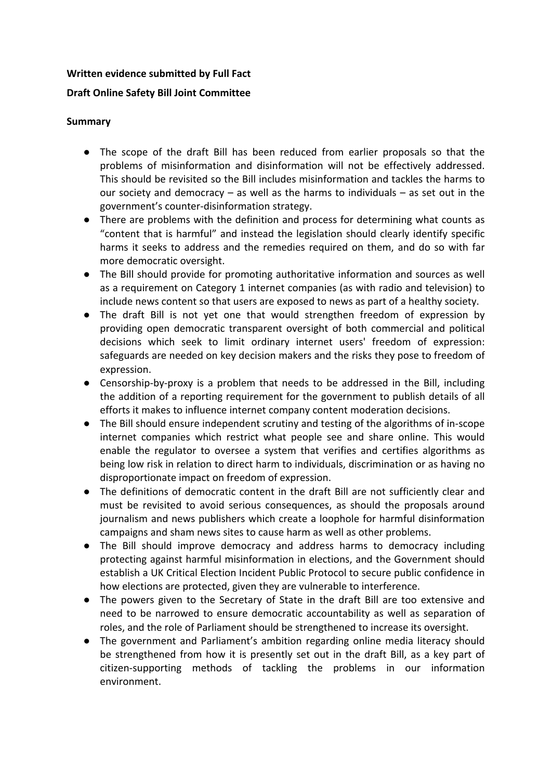### **Written evidence submitted by Full Fact**

# **Draft Online Safety Bill Joint Committee**

### **Summary**

- The scope of the draft Bill has been reduced from earlier proposals so that the problems of misinformation and disinformation will not be effectively addressed. This should be revisited so the Bill includes misinformation and tackles the harms to our society and democracy  $-$  as well as the harms to individuals  $-$  as set out in the government's counter-disinformation strategy.
- There are problems with the definition and process for determining what counts as "content that is harmful" and instead the legislation should clearly identify specific harms it seeks to address and the remedies required on them, and do so with far more democratic oversight.
- The Bill should provide for promoting authoritative information and sources as well as a requirement on Category 1 internet companies (as with radio and television) to include news content so that users are exposed to news as part of a healthy society.
- The draft Bill is not yet one that would strengthen freedom of expression by providing open democratic transparent oversight of both commercial and political decisions which seek to limit ordinary internet users' freedom of expression: safeguards are needed on key decision makers and the risks they pose to freedom of expression.
- Censorship-by-proxy is a problem that needs to be addressed in the Bill, including the addition of a reporting requirement for the government to publish details of all efforts it makes to influence internet company content moderation decisions.
- The Bill should ensure independent scrutiny and testing of the algorithms of in-scope internet companies which restrict what people see and share online. This would enable the regulator to oversee a system that verifies and certifies algorithms as being low risk in relation to direct harm to individuals, discrimination or as having no disproportionate impact on freedom of expression.
- The definitions of democratic content in the draft Bill are not sufficiently clear and must be revisited to avoid serious consequences, as should the proposals around journalism and news publishers which create a loophole for harmful disinformation campaigns and sham news sites to cause harm as well as other problems.
- The Bill should improve democracy and address harms to democracy including protecting against harmful misinformation in elections, and the Government should establish a UK Critical Election Incident Public Protocol to secure public confidence in how elections are protected, given they are vulnerable to interference.
- The powers given to the Secretary of State in the draft Bill are too extensive and need to be narrowed to ensure democratic accountability as well as separation of roles, and the role of Parliament should be strengthened to increase its oversight.
- The government and Parliament's ambition regarding online media literacy should be strengthened from how it is presently set out in the draft Bill, as a key part of citizen-supporting methods of tackling the problems in our information environment.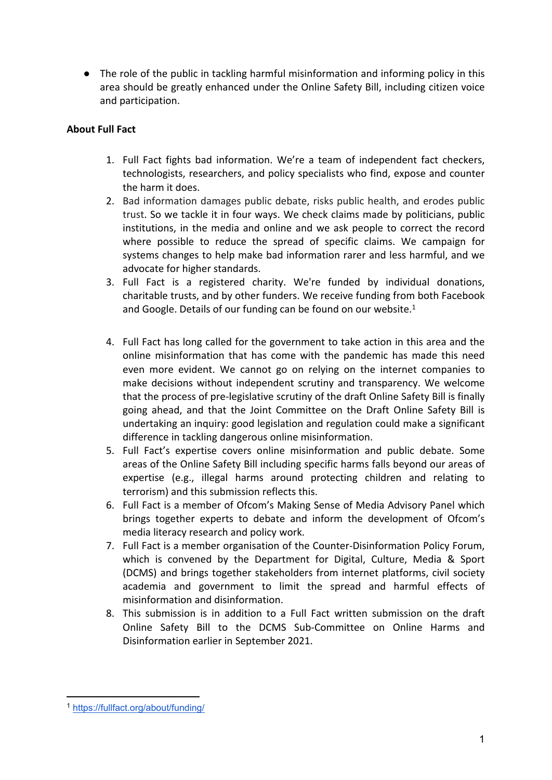● The role of the public in tackling harmful misinformation and informing policy in this area should be greatly enhanced under the Online Safety Bill, including citizen voice and participation.

# **About Full Fact**

- 1. Full Fact fights bad information. We're a team of independent fact checkers, technologists, researchers, and policy specialists who find, expose and counter the harm it does.
- 2. Bad information damages public debate, risks public health, and erodes public trust. So we tackle it in four ways. We check claims made by politicians, public institutions, in the media and online and we ask people to correct the record where possible to reduce the spread of specific claims. We campaign for systems changes to help make bad information rarer and less harmful, and we advocate for higher standards.
- 3. Full Fact is a registered charity. We're funded by individual donations, charitable trusts, and by other funders. We receive funding from both Facebook and Google. Details of our funding can be found on our website. $1$
- 4. Full Fact has long called for the government to take action in this area and the online misinformation that has come with the pandemic has made this need even more evident. We cannot go on relying on the internet companies to make decisions without independent scrutiny and transparency. We welcome that the process of pre-legislative scrutiny of the draft Online Safety Bill is finally going ahead, and that the Joint Committee on the Draft Online Safety Bill is undertaking an inquiry: good legislation and regulation could make a significant difference in tackling dangerous online misinformation.
- 5. Full Fact's expertise covers online misinformation and public debate. Some areas of the Online Safety Bill including specific harms falls beyond our areas of expertise (e.g., illegal harms around protecting children and relating to terrorism) and this submission reflects this.
- 6. Full Fact is a member of Ofcom's Making Sense of Media Advisory Panel which brings together experts to debate and inform the development of Ofcom's media literacy research and policy work.
- 7. Full Fact is a member organisation of the Counter-Disinformation Policy Forum, which is convened by the Department for Digital, Culture, Media & Sport (DCMS) and brings together stakeholders from internet platforms, civil society academia and government to limit the spread and harmful effects of misinformation and disinformation.
- 8. This submission is in addition to a Full Fact written submission on the draft Online Safety Bill to the DCMS Sub-Committee on Online Harms and Disinformation earlier in September 2021.

<sup>1</sup> <https://fullfact.org/about/funding/>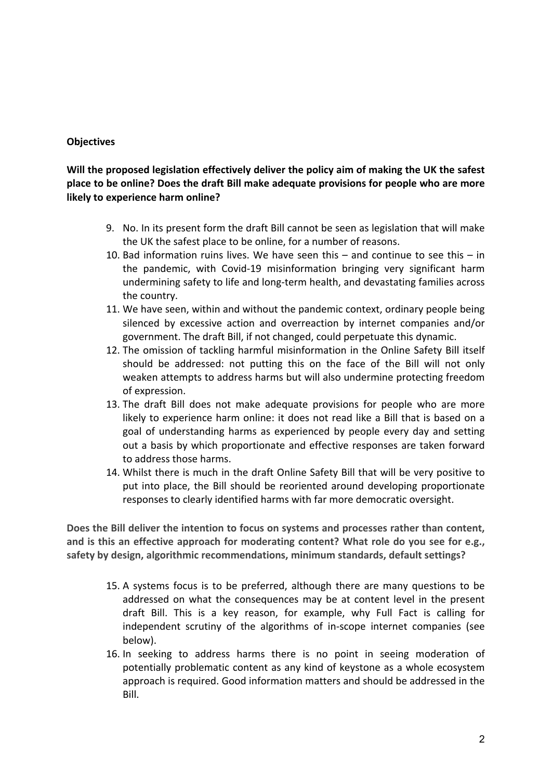# **Objectives**

**Will the proposed legislation effectively deliver the policy aim of making the UK the safest place to be online? Does the draft Bill make adequate provisions for people who are more likely to experience harm online?**

- 9. No. In its present form the draft Bill cannot be seen as legislation that will make the UK the safest place to be online, for a number of reasons.
- 10. Bad information ruins lives. We have seen this and continue to see this in the pandemic, with Covid-19 misinformation bringing very significant harm undermining safety to life and long-term health, and devastating families across the country.
- 11. We have seen, within and without the pandemic context, ordinary people being silenced by excessive action and overreaction by internet companies and/or government. The draft Bill, if not changed, could perpetuate this dynamic.
- 12. The omission of tackling harmful misinformation in the Online Safety Bill itself should be addressed: not putting this on the face of the Bill will not only weaken attempts to address harms but will also undermine protecting freedom of expression.
- 13. The draft Bill does not make adequate provisions for people who are more likely to experience harm online: it does not read like a Bill that is based on a goal of understanding harms as experienced by people every day and setting out a basis by which proportionate and effective responses are taken forward to address those harms.
- 14. Whilst there is much in the draft Online Safety Bill that will be very positive to put into place, the Bill should be reoriented around developing proportionate responses to clearly identified harms with far more democratic oversight.

**Does the Bill deliver the intention to focus on systems and processes rather than content, and is this an effective approach for moderating content? What role do you see for e.g., safety by design, algorithmic recommendations, minimum standards, default settings?**

- 15. A systems focus is to be preferred, although there are many questions to be addressed on what the consequences may be at content level in the present draft Bill. This is a key reason, for example, why Full Fact is calling for independent scrutiny of the algorithms of in-scope internet companies (see below).
- 16. In seeking to address harms there is no point in seeing moderation of potentially problematic content as any kind of keystone as a whole ecosystem approach is required. Good information matters and should be addressed in the Bill.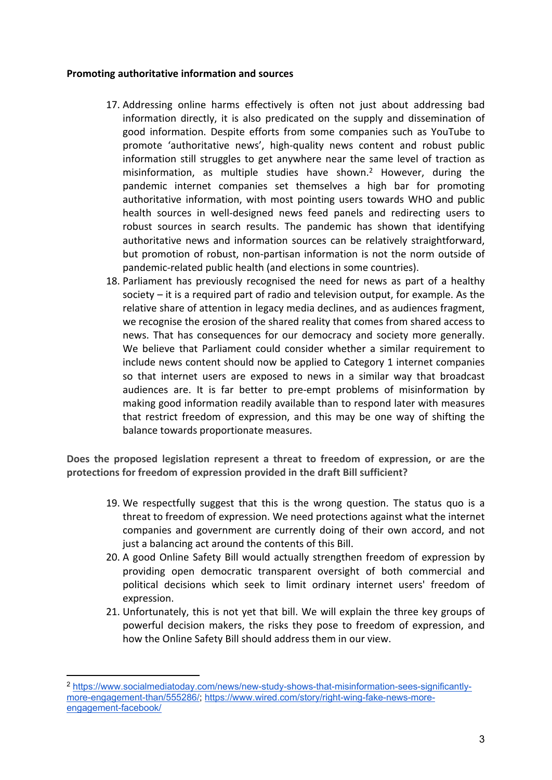### **Promoting authoritative information and sources**

- 17. Addressing online harms effectively is often not just about addressing bad information directly, it is also predicated on the supply and dissemination of good information. Despite efforts from some companies such as YouTube to promote 'authoritative news', high-quality news content and robust public information still struggles to get anywhere near the same level of traction as misinformation, as multiple studies have shown.<sup>2</sup> However, during the pandemic internet companies set themselves a high bar for promoting authoritative information, with most pointing users towards WHO and public health sources in well-designed news feed panels and redirecting users to robust sources in search results. The pandemic has shown that identifying authoritative news and information sources can be relatively straightforward, but promotion of robust, non-partisan information is not the norm outside of pandemic-related public health (and elections in some countries).
- 18. Parliament has previously recognised the need for news as part of a healthy society – it is a required part of radio and television output, for example. As the relative share of attention in legacy media declines, and as audiences fragment, we recognise the erosion of the shared reality that comes from shared access to news. That has consequences for our democracy and society more generally. We believe that Parliament could consider whether a similar requirement to include news content should now be applied to Category 1 internet companies so that internet users are exposed to news in a similar way that broadcast audiences are. It is far better to pre-empt problems of misinformation by making good information readily available than to respond later with measures that restrict freedom of expression, and this may be one way of shifting the balance towards proportionate measures.

**Does the proposed legislation represent a threat to freedom of expression, or are the protections for freedom of expression provided in the draft Bill sufficient?**

- 19. We respectfully suggest that this is the wrong question. The status quo is a threat to freedom of expression. We need protections against what the internet companies and government are currently doing of their own accord, and not just a balancing act around the contents of this Bill.
- 20. A good Online Safety Bill would actually strengthen freedom of expression by providing open democratic transparent oversight of both commercial and political decisions which seek to limit ordinary internet users' freedom of expression.
- 21. Unfortunately, this is not yet that bill. We will explain the three key groups of powerful decision makers, the risks they pose to freedom of expression, and how the Online Safety Bill should address them in our view.

<sup>2</sup> [https://www.socialmediatoday.com/news/new-study-shows-that-misinformation-sees-significantly](https://www.socialmediatoday.com/news/new-study-shows-that-misinformation-sees-significantly-more-engagement-than/555286/)[more-engagement-than/555286/](https://www.socialmediatoday.com/news/new-study-shows-that-misinformation-sees-significantly-more-engagement-than/555286/); [https://www.wired.com/story/right-wing-fake-news-more](https://www.wired.com/story/right-wing-fake-news-more-engagement-facebook/)[engagement-facebook/](https://www.wired.com/story/right-wing-fake-news-more-engagement-facebook/)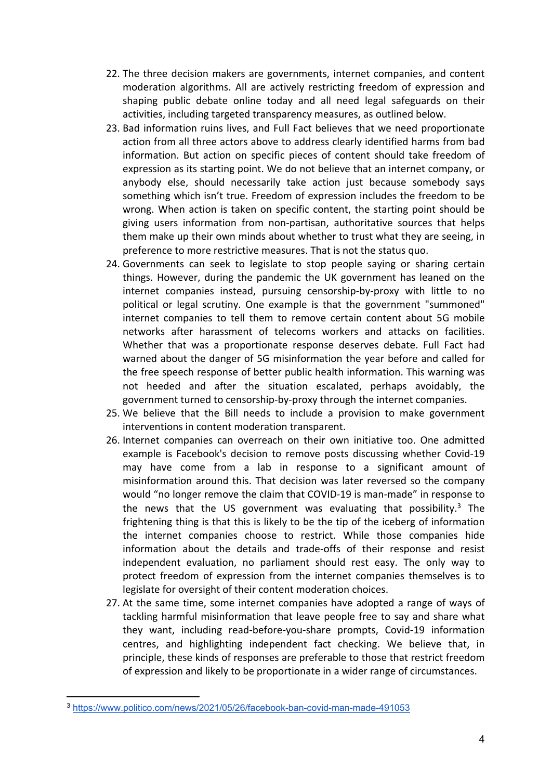- 22. The three decision makers are governments, internet companies, and content moderation algorithms. All are actively restricting freedom of expression and shaping public debate online today and all need legal safeguards on their activities, including targeted transparency measures, as outlined below.
- 23. Bad information ruins lives, and Full Fact believes that we need proportionate action from all three actors above to address clearly identified harms from bad information. But action on specific pieces of content should take freedom of expression as its starting point. We do not believe that an internet company, or anybody else, should necessarily take action just because somebody says something which isn't true. Freedom of expression includes the freedom to be wrong. When action is taken on specific content, the starting point should be giving users information from non-partisan, authoritative sources that helps them make up their own minds about whether to trust what they are seeing, in preference to more restrictive measures. That is not the status quo.
- 24. Governments can seek to legislate to stop people saying or sharing certain things. However, during the pandemic the UK government has leaned on the internet companies instead, pursuing censorship-by-proxy with little to no political or legal scrutiny. One example is that the government "summoned" internet companies to tell them to remove certain content about 5G mobile networks after harassment of telecoms workers and attacks on facilities. Whether that was a proportionate response deserves debate. Full Fact had warned about the danger of 5G misinformation the year before and called for the free speech response of better public health information. This warning was not heeded and after the situation escalated, perhaps avoidably, the government turned to censorship-by-proxy through the internet companies.
- 25. We believe that the Bill needs to include a provision to make government interventions in content moderation transparent.
- 26. Internet companies can overreach on their own initiative too. One admitted example is Facebook's decision to remove posts discussing whether Covid-19 may have come from a lab in response to a significant amount of misinformation around this. That decision was later reversed so the company would "no longer remove the claim that COVID-19 is man-made" in response to the news that the US government was evaluating that possibility. $3$  The frightening thing is that this is likely to be the tip of the iceberg of information the internet companies choose to restrict. While those companies hide information about the details and trade-offs of their response and resist independent evaluation, no parliament should rest easy. The only way to protect freedom of expression from the internet companies themselves is to legislate for oversight of their content moderation choices.
- 27. At the same time, some internet companies have adopted a range of ways of tackling harmful misinformation that leave people free to say and share what they want, including read-before-you-share prompts, Covid-19 information centres, and highlighting independent fact checking. We believe that, in principle, these kinds of responses are preferable to those that restrict freedom of expression and likely to be proportionate in a wider range of circumstances.

<sup>3</sup> <https://www.politico.com/news/2021/05/26/facebook-ban-covid-man-made-491053>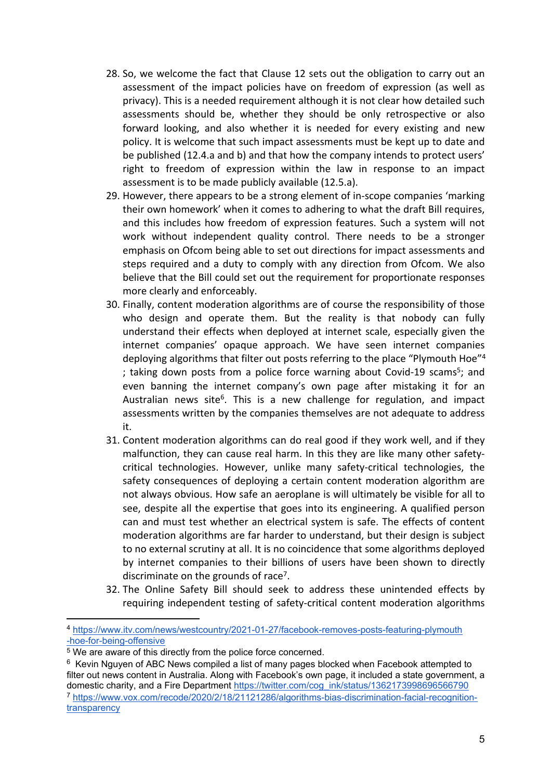- 28. So, we welcome the fact that Clause 12 sets out the obligation to carry out an assessment of the impact policies have on freedom of expression (as well as privacy). This is a needed requirement although it is not clear how detailed such assessments should be, whether they should be only retrospective or also forward looking, and also whether it is needed for every existing and new policy. It is welcome that such impact assessments must be kept up to date and be published (12.4.a and b) and that how the company intends to protect users' right to freedom of expression within the law in response to an impact assessment is to be made publicly available (12.5.a).
- 29. However, there appears to be a strong element of in-scope companies 'marking their own homework' when it comes to adhering to what the draft Bill requires, and this includes how freedom of expression features. Such a system will not work without independent quality control. There needs to be a stronger emphasis on Ofcom being able to set out directions for impact assessments and steps required and a duty to comply with any direction from Ofcom. We also believe that the Bill could set out the requirement for proportionate responses more clearly and enforceably.
- 30. Finally, content moderation algorithms are of course the responsibility of those who design and operate them. But the reality is that nobody can fully understand their effects when deployed at internet scale, especially given the internet companies' opaque approach. We have seen internet companies deploying algorithms that filter out posts referring to the place "Plymouth Hoe"<sup>4</sup> ; taking down posts from a police force warning about Covid-19 scams<sup>5</sup>; and even banning the internet company's own page after mistaking it for an Australian news site<sup>6</sup>. This is a new challenge for regulation, and impact assessments written by the companies themselves are not adequate to address it.
- 31. Content moderation algorithms can do real good if they work well, and if they malfunction, they can cause real harm. In this they are like many other safetycritical technologies. However, unlike many safety-critical technologies, the safety consequences of deploying a certain content moderation algorithm are not always obvious. How safe an aeroplane is will ultimately be visible for all to see, despite all the expertise that goes into its engineering. A qualified person can and must test whether an electrical system is safe. The effects of content moderation algorithms are far harder to understand, but their design is subject to no external scrutiny at all. It is no coincidence that some algorithms deployed by internet companies to their billions of users have been shown to directly discriminate on the grounds of race<sup>7</sup>.
- 32. The Online Safety Bill should seek to address these unintended effects by requiring independent testing of safety-critical content moderation algorithms

<sup>4</sup> [https://www.itv.com/news/westcountry/2021-01-27/facebook-removes-posts-featuring-plymouth](https://www.itv.com/news/westcountry/2021-01-27/facebook-removes-posts-featuring-plymouth-hoe-for-being-offensive) [-hoe-for-being-offensive](https://www.itv.com/news/westcountry/2021-01-27/facebook-removes-posts-featuring-plymouth-hoe-for-being-offensive)

<sup>5</sup> We are aware of this directly from the police force concerned.

<sup>&</sup>lt;sup>6</sup> Kevin Nguyen of ABC News compiled a list of many pages blocked when Facebook attempted to filter out news content in Australia. Along with Facebook's own page, it included a state government, a domestic charity, and a Fire Department [https://twitter.com/cog\\_ink/status/1362173998696566790](https://twitter.com/cog_ink/status/1362173998696566790) <sup>7</sup> [https://www.vox.com/recode/2020/2/18/21121286/algorithms-bias-discrimination-facial-recognition](https://www.vox.com/recode/2020/2/18/21121286/algorithms-bias-discrimination-facial-recognition-transparency)[transparency](https://www.vox.com/recode/2020/2/18/21121286/algorithms-bias-discrimination-facial-recognition-transparency)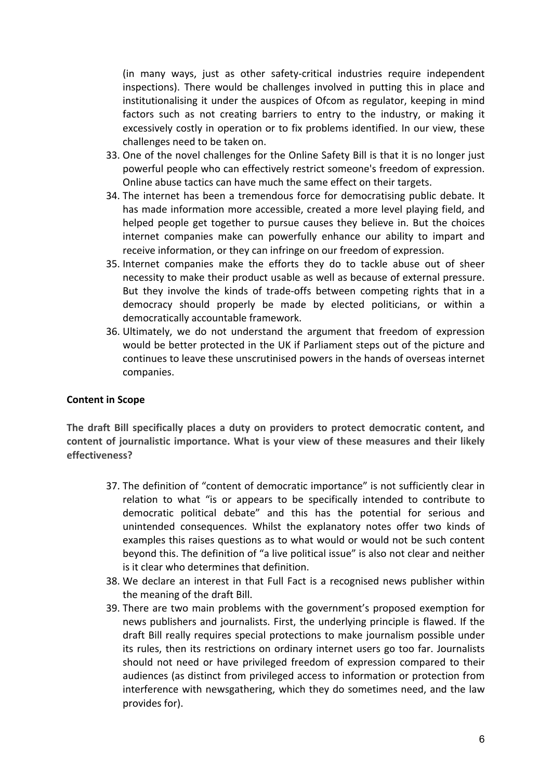(in many ways, just as other safety-critical industries require independent inspections). There would be challenges involved in putting this in place and institutionalising it under the auspices of Ofcom as regulator, keeping in mind factors such as not creating barriers to entry to the industry, or making it excessively costly in operation or to fix problems identified. In our view, these challenges need to be taken on.

- 33. One of the novel challenges for the Online Safety Bill is that it is no longer just powerful people who can effectively restrict someone's freedom of expression. Online abuse tactics can have much the same effect on their targets.
- 34. The internet has been a tremendous force for democratising public debate. It has made information more accessible, created a more level playing field, and helped people get together to pursue causes they believe in. But the choices internet companies make can powerfully enhance our ability to impart and receive information, or they can infringe on our freedom of expression.
- 35. Internet companies make the efforts they do to tackle abuse out of sheer necessity to make their product usable as well as because of external pressure. But they involve the kinds of trade-offs between competing rights that in a democracy should properly be made by elected politicians, or within a democratically accountable framework.
- 36. Ultimately, we do not understand the argument that freedom of expression would be better protected in the UK if Parliament steps out of the picture and continues to leave these unscrutinised powers in the hands of overseas internet companies.

#### **Content in Scope**

**The draft Bill specifically places a duty on providers to protect democratic content, and content of journalistic importance. What is your view of these measures and their likely effectiveness?**

- 37. The definition of "content of democratic importance" is not sufficiently clear in relation to what "is or appears to be specifically intended to contribute to democratic political debate" and this has the potential for serious and unintended consequences. Whilst the explanatory notes offer two kinds of examples this raises questions as to what would or would not be such content beyond this. The definition of "a live political issue" is also not clear and neither is it clear who determines that definition.
- 38. We declare an interest in that Full Fact is a recognised news publisher within the meaning of the draft Bill.
- 39. There are two main problems with the government's proposed exemption for news publishers and journalists. First, the underlying principle is flawed. If the draft Bill really requires special protections to make journalism possible under its rules, then its restrictions on ordinary internet users go too far. Journalists should not need or have privileged freedom of expression compared to their audiences (as distinct from privileged access to information or protection from interference with newsgathering, which they do sometimes need, and the law provides for).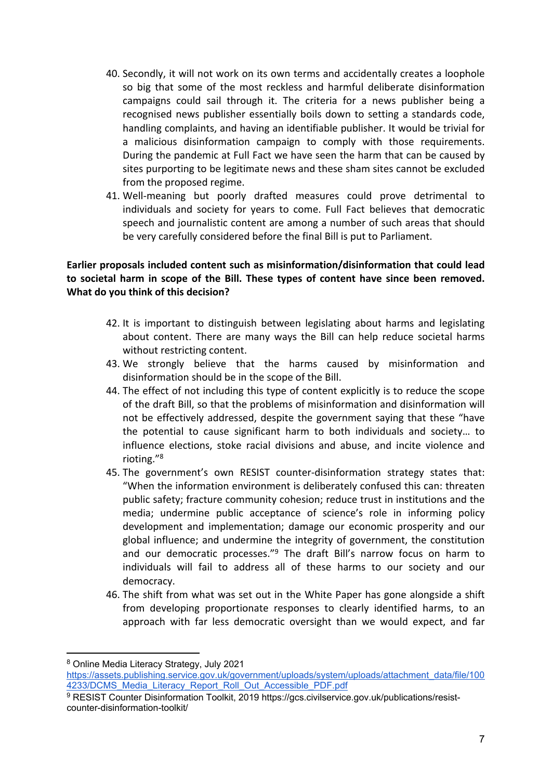- 40. Secondly, it will not work on its own terms and accidentally creates a loophole so big that some of the most reckless and harmful deliberate disinformation campaigns could sail through it. The criteria for a news publisher being a recognised news publisher essentially boils down to setting a standards code, handling complaints, and having an identifiable publisher. It would be trivial for a malicious disinformation campaign to comply with those requirements. During the pandemic at Full Fact we have seen the harm that can be caused by sites purporting to be legitimate news and these sham sites cannot be excluded from the proposed regime.
- 41. Well-meaning but poorly drafted measures could prove detrimental to individuals and society for years to come. Full Fact believes that democratic speech and journalistic content are among a number of such areas that should be very carefully considered before the final Bill is put to Parliament.

# **Earlier proposals included content such as misinformation/disinformation that could lead to societal harm in scope of the Bill. These types of content have since been removed. What do you think of this decision?**

- 42. It is important to distinguish between legislating about harms and legislating about content. There are many ways the Bill can help reduce societal harms without restricting content.
- 43. We strongly believe that the harms caused by misinformation and disinformation should be in the scope of the Bill.
- 44. The effect of not including this type of content explicitly is to reduce the scope of the draft Bill, so that the problems of misinformation and disinformation will not be effectively addressed, despite the government saying that these "have the potential to cause significant harm to both individuals and society… to influence elections, stoke racial divisions and abuse, and incite violence and rioting."<sup>8</sup>
- 45. The government's own RESIST counter-disinformation strategy states that: "When the information environment is deliberately confused this can: threaten public safety; fracture community cohesion; reduce trust in institutions and the media; undermine public acceptance of science's role in informing policy development and implementation; damage our economic prosperity and our global influence; and undermine the integrity of government, the constitution and our democratic processes."<sup>9</sup> The draft Bill's narrow focus on harm to individuals will fail to address all of these harms to our society and our democracy.
- 46. The shift from what was set out in the White Paper has gone alongside a shift from developing proportionate responses to clearly identified harms, to an approach with far less democratic oversight than we would expect, and far

<sup>8</sup> Online Media Literacy Strategy, July 2021

[https://assets.publishing.service.gov.uk/government/uploads/system/uploads/attachment\\_data/file/100](https://assets.publishing.service.gov.uk/government/uploads/system/uploads/attachment_data/file/1004233/DCMS_Media_Literacy_Report_Roll_Out_Accessible_PDF.pdf) [4233/DCMS\\_Media\\_Literacy\\_Report\\_Roll\\_Out\\_Accessible\\_PDF.pdf](https://assets.publishing.service.gov.uk/government/uploads/system/uploads/attachment_data/file/1004233/DCMS_Media_Literacy_Report_Roll_Out_Accessible_PDF.pdf)

<sup>9</sup> RESIST Counter Disinformation Toolkit, 2019 [https://gcs.civilservice.gov.uk/publications/resist](https://gcs.civilservice.gov.uk/publications/resist-counter-disinformation-toolkit/)[counter-disinformation-toolkit/](https://gcs.civilservice.gov.uk/publications/resist-counter-disinformation-toolkit/)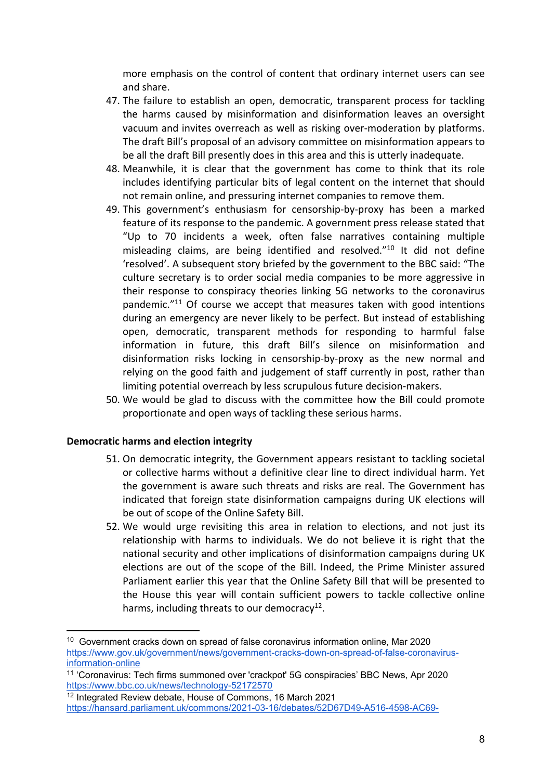more emphasis on the control of content that ordinary internet users can see and share.

- 47. The failure to establish an open, democratic, transparent process for tackling the harms caused by misinformation and disinformation leaves an oversight vacuum and invites overreach as well as risking over-moderation by platforms. The draft Bill's proposal of an advisory committee on misinformation appears to be all the draft Bill presently does in this area and this is utterly inadequate.
- 48. Meanwhile, it is clear that the government has come to think that its role includes identifying particular bits of legal content on the internet that should not remain online, and pressuring internet companies to remove them.
- 49. This government's enthusiasm for censorship-by-proxy has been a marked feature of its response to the pandemic. A government press release stated that "Up to 70 incidents a week, often false narratives containing multiple misleading claims, are being identified and resolved."<sup>10</sup> It did not define 'resolved'. A subsequent story briefed by the government to the BBC said: "The culture secretary is to order social media companies to be more aggressive in their response to conspiracy theories linking 5G networks to the coronavirus pandemic."<sup>11</sup> Of course we accept that measures taken with good intentions during an emergency are never likely to be perfect. But instead of establishing open, democratic, transparent methods for responding to harmful false information in future, this draft Bill's silence on misinformation and disinformation risks locking in censorship-by-proxy as the new normal and relying on the good faith and judgement of staff currently in post, rather than limiting potential overreach by less scrupulous future decision-makers.
- 50. We would be glad to discuss with the committee how the Bill could promote proportionate and open ways of tackling these serious harms.

#### **Democratic harms and election integrity**

- 51. On democratic integrity, the Government appears resistant to tackling societal or collective harms without a definitive clear line to direct individual harm. Yet the government is aware such threats and risks are real. The Government has indicated that foreign state disinformation campaigns during UK elections will be out of scope of the Online Safety Bill.
- 52. We would urge revisiting this area in relation to elections, and not just its relationship with harms to individuals. We do not believe it is right that the national security and other implications of disinformation campaigns during UK elections are out of the scope of the Bill. Indeed, the Prime Minister assured Parliament earlier this year that the Online Safety Bill that will be presented to the House this year will contain sufficient powers to tackle collective online harms, including threats to our democracy<sup>12</sup>.

<sup>&</sup>lt;sup>10</sup> Government cracks down on spread of false coronavirus information online, Mar 2020 [https://www.gov.uk/government/news/government-cracks-down-on-spread-of-false-coronavirus](https://www.gov.uk/government/news/government-cracks-down-on-spread-of-false-coronavirus-information-online)[information-online](https://www.gov.uk/government/news/government-cracks-down-on-spread-of-false-coronavirus-information-online)

<sup>11</sup> 'Coronavirus: Tech firms summoned over 'crackpot' 5G conspiracies' BBC News, Apr 2020 <https://www.bbc.co.uk/news/technology-52172570>

<sup>12</sup> Integrated Review debate, House of Commons, 16 March 2021 [https://hansard.parliament.uk/commons/2021-03-16/debates/52D67D49-A516-4598-AC69-](https://hansard.parliament.uk/commons/2021-03-16/debates/52D67D49-A516-4598-AC69-68E8938731D9/IntegratedReview#contribution-76EFB229-E887-4B38-BBBD-09B5E13FA760)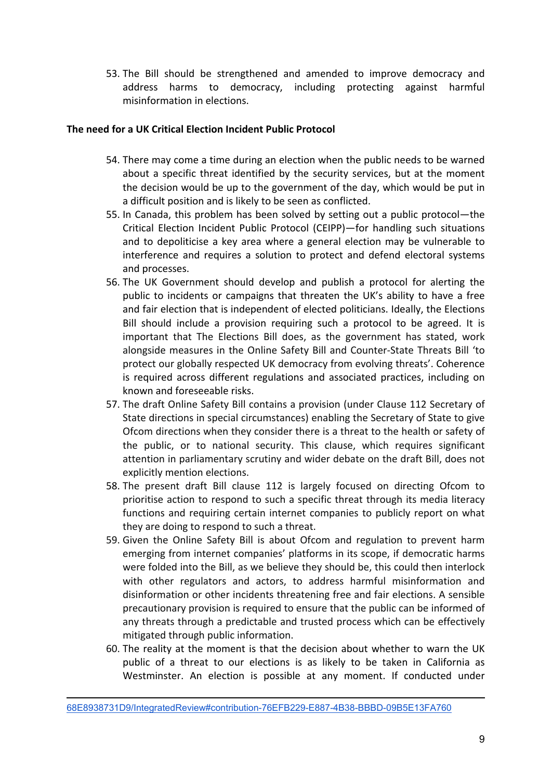53. The Bill should be strengthened and amended to improve democracy and address harms to democracy, including protecting against harmful misinformation in elections.

# **The need for a UK Critical Election Incident Public Protocol**

- 54. There may come a time during an election when the public needs to be warned about a specific threat identified by the security services, but at the moment the decision would be up to the government of the day, which would be put in a difficult position and is likely to be seen as conflicted.
- 55. In Canada, this problem has been solved by setting out a public protocol—the Critical Election Incident Public Protocol (CEIPP)—for handling such situations and to depoliticise a key area where a general election may be vulnerable to interference and requires a solution to protect and defend electoral systems and processes.
- 56. The UK Government should develop and publish a protocol for alerting the public to incidents or campaigns that threaten the UK's ability to have a free and fair election that is independent of elected politicians. Ideally, the Elections Bill should include a provision requiring such a protocol to be agreed. It is important that The Elections Bill does, as the government has stated, work alongside measures in the Online Safety Bill and Counter-State Threats Bill 'to protect our globally respected UK democracy from evolving threats'. Coherence is required across different regulations and associated practices, including on known and foreseeable risks.
- 57. The draft Online Safety Bill contains a provision (under Clause 112 Secretary of State directions in special circumstances) enabling the Secretary of State to give Ofcom directions when they consider there is a threat to the health or safety of the public, or to national security. This clause, which requires significant attention in parliamentary scrutiny and wider debate on the draft Bill, does not explicitly mention elections.
- 58. The present draft Bill clause 112 is largely focused on directing Ofcom to prioritise action to respond to such a specific threat through its media literacy functions and requiring certain internet companies to publicly report on what they are doing to respond to such a threat.
- 59. Given the Online Safety Bill is about Ofcom and regulation to prevent harm emerging from internet companies' platforms in its scope, if democratic harms were folded into the Bill, as we believe they should be, this could then interlock with other regulators and actors, to address harmful misinformation and disinformation or other incidents threatening free and fair elections. A sensible precautionary provision is required to ensure that the public can be informed of any threats through a predictable and trusted process which can be effectively mitigated through public information.
- 60. The reality at the moment is that the decision about whether to warn the UK public of a threat to our elections is as likely to be taken in California as Westminster. An election is possible at any moment. If conducted under

[<sup>68</sup>E8938731D9/IntegratedReview#contribution-76EFB229-E887-4B38-BBBD-09B5E13FA760](https://hansard.parliament.uk/commons/2021-03-16/debates/52D67D49-A516-4598-AC69-68E8938731D9/IntegratedReview#contribution-76EFB229-E887-4B38-BBBD-09B5E13FA760)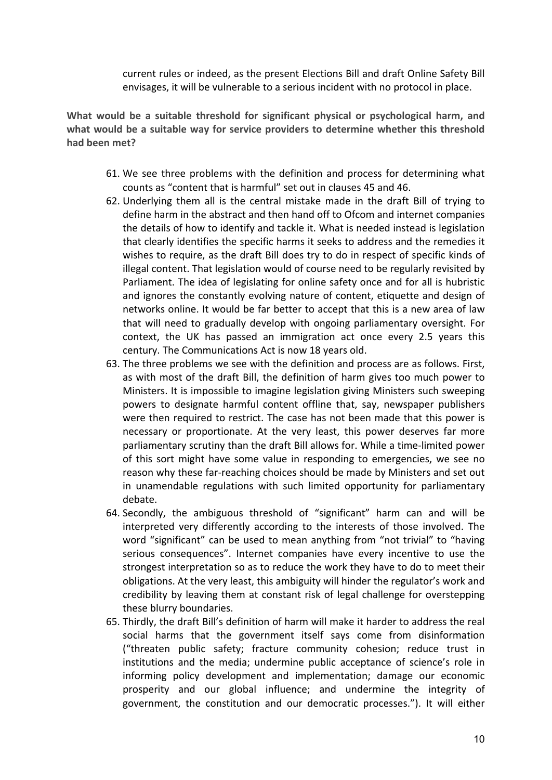current rules or indeed, as the present Elections Bill and draft Online Safety Bill envisages, it will be vulnerable to a serious incident with no protocol in place.

**What would be a suitable threshold for significant physical or psychological harm, and what would be a suitable way for service providers to determine whether this threshold had been met?**

- 61. We see three problems with the definition and process for determining what counts as "content that is harmful" set out in clauses 45 and 46.
- 62. Underlying them all is the central mistake made in the draft Bill of trying to define harm in the abstract and then hand off to Ofcom and internet companies the details of how to identify and tackle it. What is needed instead is legislation that clearly identifies the specific harms it seeks to address and the remedies it wishes to require, as the draft Bill does try to do in respect of specific kinds of illegal content. That legislation would of course need to be regularly revisited by Parliament. The idea of legislating for online safety once and for all is hubristic and ignores the constantly evolving nature of content, etiquette and design of networks online. It would be far better to accept that this is a new area of law that will need to gradually develop with ongoing parliamentary oversight. For context, the UK has passed an immigration act once every 2.5 years this century. The Communications Act is now 18 years old.
- 63. The three problems we see with the definition and process are as follows. First, as with most of the draft Bill, the definition of harm gives too much power to Ministers. It is impossible to imagine legislation giving Ministers such sweeping powers to designate harmful content offline that, say, newspaper publishers were then required to restrict. The case has not been made that this power is necessary or proportionate. At the very least, this power deserves far more parliamentary scrutiny than the draft Bill allows for. While a time-limited power of this sort might have some value in responding to emergencies, we see no reason why these far-reaching choices should be made by Ministers and set out in unamendable regulations with such limited opportunity for parliamentary debate.
- 64. Secondly, the ambiguous threshold of "significant" harm can and will be interpreted very differently according to the interests of those involved. The word "significant" can be used to mean anything from "not trivial" to "having serious consequences". Internet companies have every incentive to use the strongest interpretation so as to reduce the work they have to do to meet their obligations. At the very least, this ambiguity will hinder the regulator's work and credibility by leaving them at constant risk of legal challenge for overstepping these blurry boundaries.
- 65. Thirdly, the draft Bill's definition of harm will make it harder to address the real social harms that the government itself says come from disinformation ("threaten public safety; fracture community cohesion; reduce trust in institutions and the media; undermine public acceptance of science's role in informing policy development and implementation; damage our economic prosperity and our global influence; and undermine the integrity of government, the constitution and our democratic processes."). It will either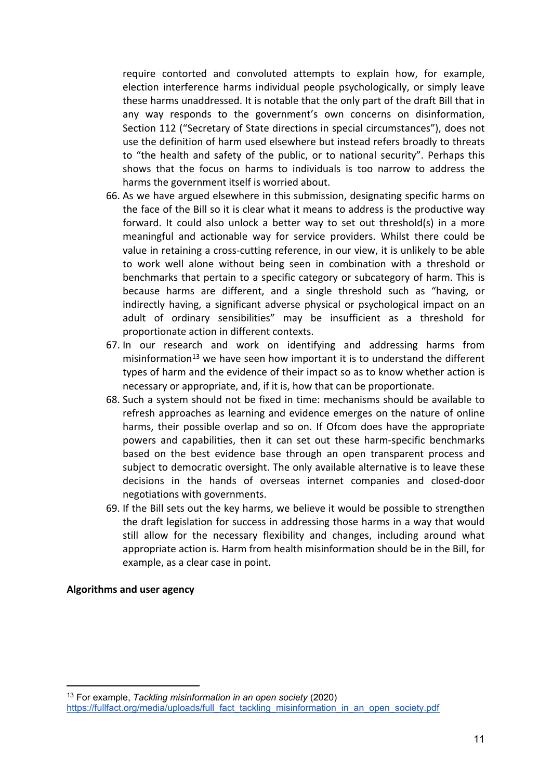require contorted and convoluted attempts to explain how, for example, election interference harms individual people psychologically, or simply leave these harms unaddressed. It is notable that the only part of the draft Bill that in any way responds to the government's own concerns on disinformation, Section 112 ("Secretary of State directions in special circumstances"), does not use the definition of harm used elsewhere but instead refers broadly to threats to "the health and safety of the public, or to national security". Perhaps this shows that the focus on harms to individuals is too narrow to address the harms the government itself is worried about.

- 66. As we have argued elsewhere in this submission, designating specific harms on the face of the Bill so it is clear what it means to address is the productive way forward. It could also unlock a better way to set out threshold(s) in a more meaningful and actionable way for service providers. Whilst there could be value in retaining a cross-cutting reference, in our view, it is unlikely to be able to work well alone without being seen in combination with a threshold or benchmarks that pertain to a specific category or subcategory of harm. This is because harms are different, and a single threshold such as "having, or indirectly having, a significant adverse physical or psychological impact on an adult of ordinary sensibilities" may be insufficient as a threshold for proportionate action in different contexts.
- 67. In our research and work on identifying and addressing harms from misinformation<sup>13</sup> we have seen how important it is to understand the different types of harm and the evidence of their impact so as to know whether action is necessary or appropriate, and, if it is, how that can be proportionate.
- 68. Such a system should not be fixed in time: mechanisms should be available to refresh approaches as learning and evidence emerges on the nature of online harms, their possible overlap and so on. If Ofcom does have the appropriate powers and capabilities, then it can set out these harm-specific benchmarks based on the best evidence base through an open transparent process and subject to democratic oversight. The only available alternative is to leave these decisions in the hands of overseas internet companies and closed-door negotiations with governments.
- 69. If the Bill sets out the key harms, we believe it would be possible to strengthen the draft legislation for success in addressing those harms in a way that would still allow for the necessary flexibility and changes, including around what appropriate action is. Harm from health misinformation should be in the Bill, for example, as a clear case in point.

**Algorithms and user agency**

<sup>13</sup> For example, *Tackling misinformation in an open society* (2020) [https://fullfact.org/media/uploads/full\\_fact\\_tackling\\_misinformation\\_in\\_an\\_open\\_society.pdf](https://fullfact.org/media/uploads/full_fact_tackling_misinformation_in_an_open_society.pdf)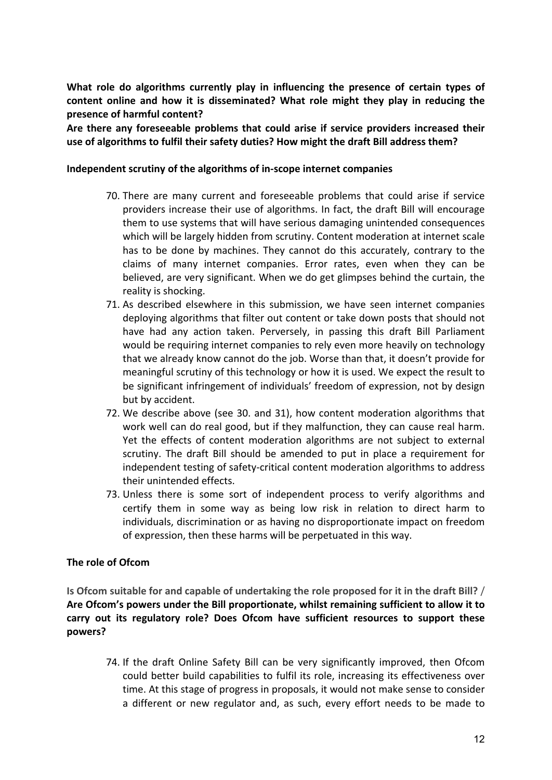**What role do algorithms currently play in influencing the presence of certain types of content online and how it is disseminated? What role might they play in reducing the presence of harmful content?**

**Are there any foreseeable problems that could arise if service providers increased their use of algorithms to fulfil their safety duties? How might the draft Bill address them?**

#### **Independent scrutiny of the algorithms of in-scope internet companies**

- 70. There are many current and foreseeable problems that could arise if service providers increase their use of algorithms. In fact, the draft Bill will encourage them to use systems that will have serious damaging unintended consequences which will be largely hidden from scrutiny. Content moderation at internet scale has to be done by machines. They cannot do this accurately, contrary to the claims of many internet companies. Error rates, even when they can be believed, are very significant. When we do get glimpses behind the curtain, the reality is shocking.
- 71. As described elsewhere in this submission, we have seen internet companies deploying algorithms that filter out content or take down posts that should not have had any action taken. Perversely, in passing this draft Bill Parliament would be requiring internet companies to rely even more heavily on technology that we already know cannot do the job. Worse than that, it doesn't provide for meaningful scrutiny of this technology or how it is used. We expect the result to be significant infringement of individuals' freedom of expression, not by design but by accident.
- 72. We describe above (see 30. and 31), how content moderation algorithms that work well can do real good, but if they malfunction, they can cause real harm. Yet the effects of content moderation algorithms are not subject to external scrutiny. The draft Bill should be amended to put in place a requirement for independent testing of safety-critical content moderation algorithms to address their unintended effects.
- 73. Unless there is some sort of independent process to verify algorithms and certify them in some way as being low risk in relation to direct harm to individuals, discrimination or as having no disproportionate impact on freedom of expression, then these harms will be perpetuated in this way.

# **The role of Ofcom**

**Is Ofcom suitable for and capable of undertaking the role proposed for it in the draft Bill?** / **Are Ofcom's powers under the Bill proportionate, whilst remaining sufficient to allow it to carry out its regulatory role? Does Ofcom have sufficient resources to support these powers?**

74. If the draft Online Safety Bill can be very significantly improved, then Ofcom could better build capabilities to fulfil its role, increasing its effectiveness over time. At this stage of progress in proposals, it would not make sense to consider a different or new regulator and, as such, every effort needs to be made to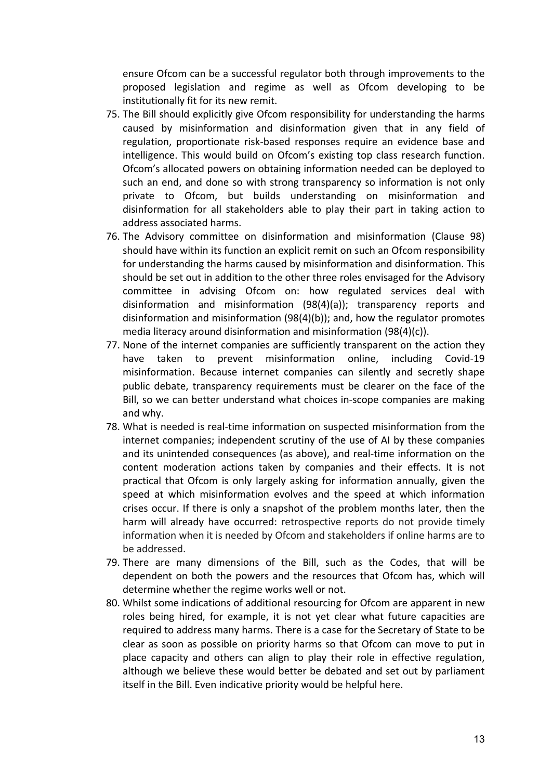ensure Ofcom can be a successful regulator both through improvements to the proposed legislation and regime as well as Ofcom developing to be institutionally fit for its new remit.

- 75. The Bill should explicitly give Ofcom responsibility for understanding the harms caused by misinformation and disinformation given that in any field of regulation, proportionate risk-based responses require an evidence base and intelligence. This would build on Ofcom's existing top class research function. Ofcom's allocated powers on obtaining information needed can be deployed to such an end, and done so with strong transparency so information is not only private to Ofcom, but builds understanding on misinformation and disinformation for all stakeholders able to play their part in taking action to address associated harms.
- 76. The Advisory committee on disinformation and misinformation (Clause 98) should have within its function an explicit remit on such an Ofcom responsibility for understanding the harms caused by misinformation and disinformation. This should be set out in addition to the other three roles envisaged for the Advisory committee in advising Ofcom on: how regulated services deal with disinformation and misinformation (98(4)(a)); transparency reports and disinformation and misinformation (98(4)(b)); and, how the regulator promotes media literacy around disinformation and misinformation (98(4)(c)).
- 77. None of the internet companies are sufficiently transparent on the action they have taken to prevent misinformation online, including Covid-19 misinformation. Because internet companies can silently and secretly shape public debate, transparency requirements must be clearer on the face of the Bill, so we can better understand what choices in-scope companies are making and why.
- 78. What is needed is real-time information on suspected misinformation from the internet companies; independent scrutiny of the use of AI by these companies and its unintended consequences (as above), and real-time information on the content moderation actions taken by companies and their effects. It is not practical that Ofcom is only largely asking for information annually, given the speed at which misinformation evolves and the speed at which information crises occur. If there is only a snapshot of the problem months later, then the harm will already have occurred: retrospective reports do not provide timely information when it is needed by Ofcom and stakeholders if online harms are to be addressed.
- 79. There are many dimensions of the Bill, such as the Codes, that will be dependent on both the powers and the resources that Ofcom has, which will determine whether the regime works well or not.
- 80. Whilst some indications of additional resourcing for Ofcom are apparent in new roles being hired, for example, it is not yet clear what future capacities are required to address many harms. There is a case for the Secretary of State to be clear as soon as possible on priority harms so that Ofcom can move to put in place capacity and others can align to play their role in effective regulation, although we believe these would better be debated and set out by parliament itself in the Bill. Even indicative priority would be helpful here.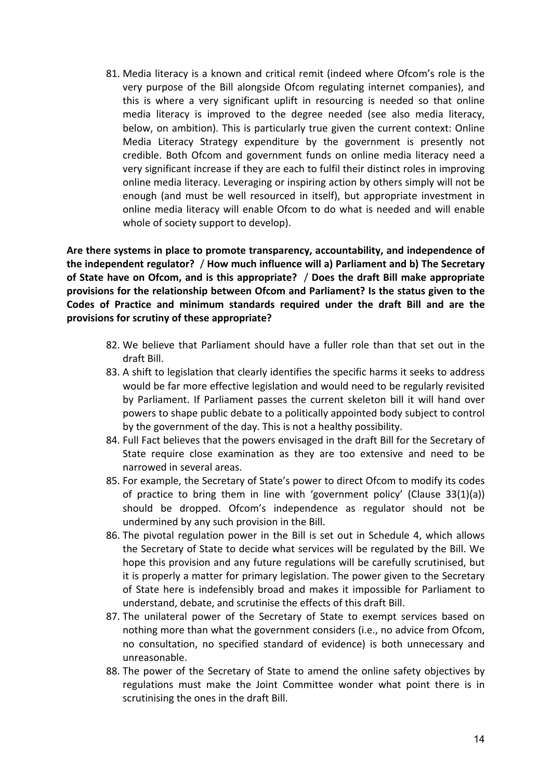81. Media literacy is a known and critical remit (indeed where Ofcom's role is the very purpose of the Bill alongside Ofcom regulating internet companies), and this is where a very significant uplift in resourcing is needed so that online media literacy is improved to the degree needed (see also media literacy, below, on ambition). This is particularly true given the current context: Online Media Literacy Strategy expenditure by the government is presently not credible. Both Ofcom and government funds on online media literacy need a very significant increase if they are each to fulfil their distinct roles in improving online media literacy. Leveraging or inspiring action by others simply will not be enough (and must be well resourced in itself), but appropriate investment in online media literacy will enable Ofcom to do what is needed and will enable whole of society support to develop).

**Are there systems in place to promote transparency, accountability, and independence of the independent regulator?** / **How much influence will a) Parliament and b) The Secretary of State have on Ofcom, and is this appropriate?** / **Does the draft Bill make appropriate provisions for the relationship between Ofcom and Parliament? Is the status given to the Codes of Practice and minimum standards required under the draft Bill and are the provisions for scrutiny of these appropriate?**

- 82. We believe that Parliament should have a fuller role than that set out in the draft Bill.
- 83. A shift to legislation that clearly identifies the specific harms it seeks to address would be far more effective legislation and would need to be regularly revisited by Parliament. If Parliament passes the current skeleton bill it will hand over powers to shape public debate to a politically appointed body subject to control by the government of the day. This is not a healthy possibility.
- 84. Full Fact believes that the powers envisaged in the draft Bill for the Secretary of State require close examination as they are too extensive and need to be narrowed in several areas.
- 85. For example, the Secretary of State's power to direct Ofcom to modify its codes of practice to bring them in line with 'government policy' (Clause 33(1)(a)) should be dropped. Ofcom's independence as regulator should not be undermined by any such provision in the Bill.
- 86. The pivotal regulation power in the Bill is set out in Schedule 4, which allows the Secretary of State to decide what services will be regulated by the Bill. We hope this provision and any future regulations will be carefully scrutinised, but it is properly a matter for primary legislation. The power given to the Secretary of State here is indefensibly broad and makes it impossible for Parliament to understand, debate, and scrutinise the effects of this draft Bill.
- 87. The unilateral power of the Secretary of State to exempt services based on nothing more than what the government considers (i.e., no advice from Ofcom, no consultation, no specified standard of evidence) is both unnecessary and unreasonable.
- 88. The power of the Secretary of State to amend the online safety objectives by regulations must make the Joint Committee wonder what point there is in scrutinising the ones in the draft Bill.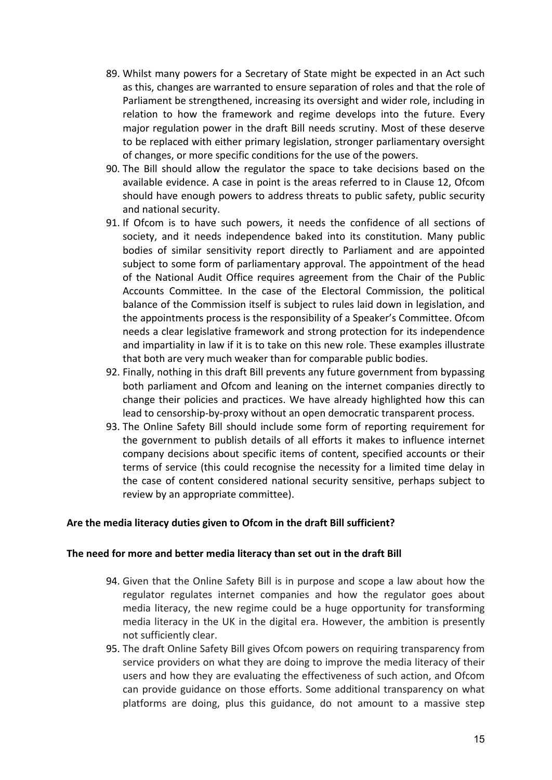- 89. Whilst many powers for a Secretary of State might be expected in an Act such as this, changes are warranted to ensure separation of roles and that the role of Parliament be strengthened, increasing its oversight and wider role, including in relation to how the framework and regime develops into the future. Every major regulation power in the draft Bill needs scrutiny. Most of these deserve to be replaced with either primary legislation, stronger parliamentary oversight of changes, or more specific conditions for the use of the powers.
- 90. The Bill should allow the regulator the space to take decisions based on the available evidence. A case in point is the areas referred to in Clause 12, Ofcom should have enough powers to address threats to public safety, public security and national security.
- 91. If Ofcom is to have such powers, it needs the confidence of all sections of society, and it needs independence baked into its constitution. Many public bodies of similar sensitivity report directly to Parliament and are appointed subject to some form of parliamentary approval. The appointment of the head of the National Audit Office requires agreement from the Chair of the Public Accounts Committee. In the case of the Electoral Commission, the political balance of the Commission itself is subject to rules laid down in legislation, and the appointments process is the responsibility of a Speaker's Committee. Ofcom needs a clear legislative framework and strong protection for its independence and impartiality in law if it is to take on this new role. These examples illustrate that both are very much weaker than for comparable public bodies.
- 92. Finally, nothing in this draft Bill prevents any future government from bypassing both parliament and Ofcom and leaning on the internet companies directly to change their policies and practices. We have already highlighted how this can lead to censorship-by-proxy without an open democratic transparent process.
- 93. The Online Safety Bill should include some form of reporting requirement for the government to publish details of all efforts it makes to influence internet company decisions about specific items of content, specified accounts or their terms of service (this could recognise the necessity for a limited time delay in the case of content considered national security sensitive, perhaps subject to review by an appropriate committee).

#### **Are the media literacy duties given to Ofcom in the draft Bill sufficient?**

#### **The need for more and better media literacy than set out in the draft Bill**

- 94. Given that the Online Safety Bill is in purpose and scope a law about how the regulator regulates internet companies and how the regulator goes about media literacy, the new regime could be a huge opportunity for transforming media literacy in the UK in the digital era. However, the ambition is presently not sufficiently clear.
- 95. The draft Online Safety Bill gives Ofcom powers on requiring transparency from service providers on what they are doing to improve the media literacy of their users and how they are evaluating the effectiveness of such action, and Ofcom can provide guidance on those efforts. Some additional transparency on what platforms are doing, plus this guidance, do not amount to a massive step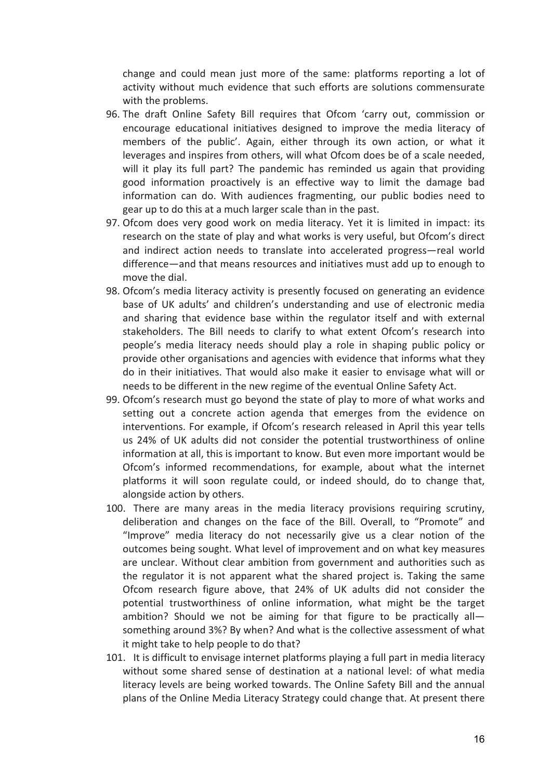change and could mean just more of the same: platforms reporting a lot of activity without much evidence that such efforts are solutions commensurate with the problems.

- 96. The draft Online Safety Bill requires that Ofcom 'carry out, commission or encourage educational initiatives designed to improve the media literacy of members of the public'. Again, either through its own action, or what it leverages and inspires from others, will what Ofcom does be of a scale needed, will it play its full part? The pandemic has reminded us again that providing good information proactively is an effective way to limit the damage bad information can do. With audiences fragmenting, our public bodies need to gear up to do this at a much larger scale than in the past.
- 97. Ofcom does very good work on media literacy. Yet it is limited in impact: its research on the state of play and what works is very useful, but Ofcom's direct and indirect action needs to translate into accelerated progress—real world difference—and that means resources and initiatives must add up to enough to move the dial.
- 98. Ofcom's media literacy activity is presently focused on generating an evidence base of UK adults' and children's understanding and use of electronic media and sharing that evidence base within the regulator itself and with external stakeholders. The Bill needs to clarify to what extent Ofcom's research into people's media literacy needs should play a role in shaping public policy or provide other organisations and agencies with evidence that informs what they do in their initiatives. That would also make it easier to envisage what will or needs to be different in the new regime of the eventual Online Safety Act.
- 99. Ofcom's research must go beyond the state of play to more of what works and setting out a concrete action agenda that emerges from the evidence on interventions. For example, if Ofcom's research released in April this year tells us 24% of UK adults did not consider the potential trustworthiness of online information at all, this is important to know. But even more important would be Ofcom's informed recommendations, for example, about what the internet platforms it will soon regulate could, or indeed should, do to change that, alongside action by others.
- 100. There are many areas in the media literacy provisions requiring scrutiny, deliberation and changes on the face of the Bill. Overall, to "Promote" and "Improve" media literacy do not necessarily give us a clear notion of the outcomes being sought. What level of improvement and on what key measures are unclear. Without clear ambition from government and authorities such as the regulator it is not apparent what the shared project is. Taking the same Ofcom research figure above, that 24% of UK adults did not consider the potential trustworthiness of online information, what might be the target ambition? Should we not be aiming for that figure to be practically all something around 3%? By when? And what is the collective assessment of what it might take to help people to do that?
- 101. It is difficult to envisage internet platforms playing a full part in media literacy without some shared sense of destination at a national level: of what media literacy levels are being worked towards. The Online Safety Bill and the annual plans of the Online Media Literacy Strategy could change that. At present there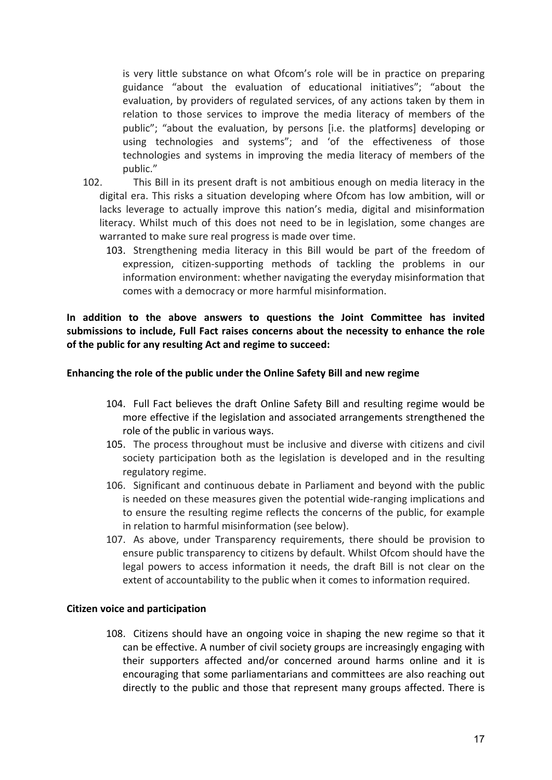is very little substance on what Ofcom's role will be in practice on preparing guidance "about the evaluation of educational initiatives"; "about the evaluation, by providers of regulated services, of any actions taken by them in relation to those services to improve the media literacy of members of the public"; "about the evaluation, by persons [i.e. the platforms] developing or using technologies and systems"; and 'of the effectiveness of those technologies and systems in improving the media literacy of members of the public."

- 102. This Bill in its present draft is not ambitious enough on media literacy in the digital era. This risks a situation developing where Ofcom has low ambition, will or lacks leverage to actually improve this nation's media, digital and misinformation literacy. Whilst much of this does not need to be in legislation, some changes are warranted to make sure real progress is made over time.
	- 103. Strengthening media literacy in this Bill would be part of the freedom of expression, citizen-supporting methods of tackling the problems in our information environment: whether navigating the everyday misinformation that comes with a democracy or more harmful misinformation.

**In addition to the above answers to questions the Joint Committee has invited submissions to include, Full Fact raises concerns about the necessity to enhance the role of the public for any resulting Act and regime to succeed:**

### **Enhancing the role of the public under the Online Safety Bill and new regime**

- 104. Full Fact believes the draft Online Safety Bill and resulting regime would be more effective if the legislation and associated arrangements strengthened the role of the public in various ways.
- 105. The process throughout must be inclusive and diverse with citizens and civil society participation both as the legislation is developed and in the resulting regulatory regime.
- 106. Significant and continuous debate in Parliament and beyond with the public is needed on these measures given the potential wide-ranging implications and to ensure the resulting regime reflects the concerns of the public, for example in relation to harmful misinformation (see below).
- 107. As above, under Transparency requirements, there should be provision to ensure public transparency to citizens by default. Whilst Ofcom should have the legal powers to access information it needs, the draft Bill is not clear on the extent of accountability to the public when it comes to information required.

#### **Citizen voice and participation**

108. Citizens should have an ongoing voice in shaping the new regime so that it can be effective. A number of civil society groups are increasingly engaging with their supporters affected and/or concerned around harms online and it is encouraging that some parliamentarians and committees are also reaching out directly to the public and those that represent many groups affected. There is